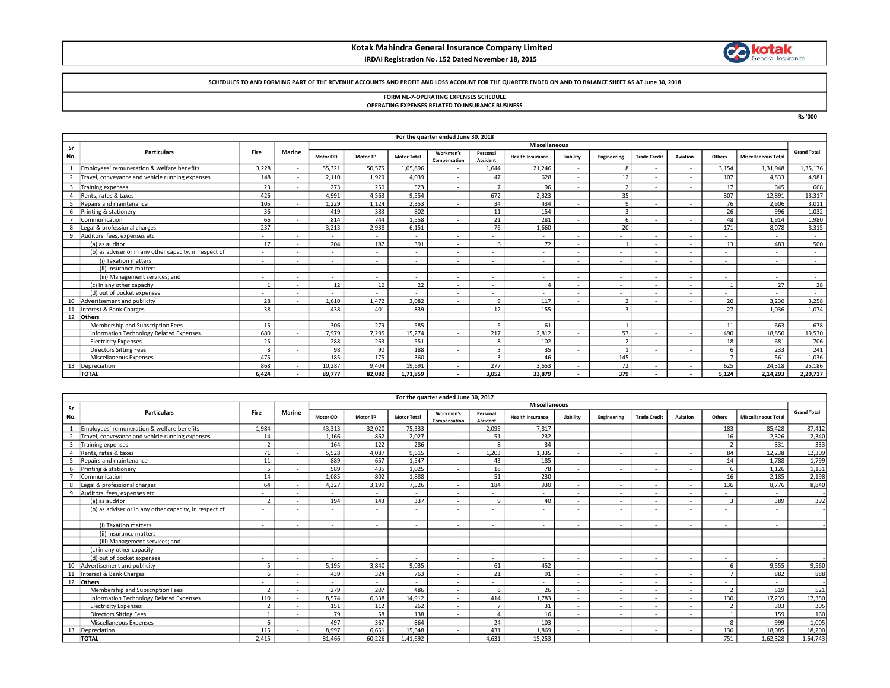# Kotak Mahindra General Insurance Company Limited





#### SCHEDULES TO AND FORMING PART OF THE REVENUE ACCOUNTS AND PROFIT AND LOSS ACCOUNT FOR THE QUARTER ENDED ON AND TO BALANCE SHEET AS AT June 30, 2018

#### FORM NL-7-OPERATING EXPENSES SCHEDULE OPERATING EXPENSES RELATED TO INSURANCE BUSINESS

Rs '000

|              |                                                        |       |        |                      |                 |                    | For the quarter ended June 30, 2018 |                             |                         |           |             |                          |                          |                |                            |                    |
|--------------|--------------------------------------------------------|-------|--------|----------------------|-----------------|--------------------|-------------------------------------|-----------------------------|-------------------------|-----------|-------------|--------------------------|--------------------------|----------------|----------------------------|--------------------|
| Sr           |                                                        |       |        | <b>Miscellaneous</b> |                 |                    |                                     |                             |                         |           |             |                          |                          |                |                            |                    |
| No.          | <b>Particulars</b>                                     | Fire  | Marine | Motor OD             | <b>Motor TP</b> | <b>Motor Total</b> | Workmen's<br>Compensation           | Personal<br><b>Accident</b> | <b>Health Insurance</b> | Liability | Engineering | <b>Trade Credit</b>      | Aviation                 | Others         | <b>Miscellaneous Total</b> | <b>Grand Total</b> |
|              | Employees' remuneration & welfare benefits             | 3,228 |        | 55,321               | 50,575          | 1,05,896           |                                     | 1,644                       | 21,246                  | . .       |             |                          |                          | 3,154          | 1,31,948                   | 1,35,176           |
|              | Travel, conveyance and vehicle running expenses        | 148   |        | 2.110                | 1.929           | 4.039              |                                     | 47                          | 628                     |           | 12          | $\sim$                   |                          | 107            | 4.833                      | 4,981              |
| $\mathbf{3}$ | <b>Training expenses</b>                               | 23    |        | 273                  | 250             | 523                | $\sim$                              |                             | 96                      | . .       |             | н.                       |                          | 17             | 645                        | 668                |
|              | Rents, rates & taxes                                   | 426   |        | 4.991                | 4.563           | 9.554              | $\overline{\phantom{a}}$            | 672                         | 2.323                   | . .       | 35          | $\sim$                   |                          | 307            | 12.891                     | 13,317             |
|              | Repairs and maintenance                                | 105   |        | 1.229                | 1.124           | 2.353              | $\overline{\phantom{a}}$            | 34                          | 434                     | . .       | $\alpha$    |                          |                          | 76             | 2.906                      | 3,011              |
|              | Printing & stationery                                  | 36    |        | 419                  | 383             | 802                |                                     | 11                          | 154                     |           |             | $\sim$                   |                          | 26             | 996                        | 1,032              |
|              | Communication                                          | 66    |        | 814                  | 744             | 1.558              | $\overline{\phantom{a}}$            | 21                          | 281                     | . .       |             | н.                       |                          | 48             | 1.914                      | 1,980              |
|              | Legal & professional charges                           | 237   |        | 3,213                | 2.938           | 6.151              | $\sim$                              | 76                          | 1,660                   | $\sim$    | 20          | н.                       |                          | 171            | 8.078                      | 8,315              |
| q            | Auditors' fees, expenses etc                           |       |        |                      |                 |                    |                                     | ۰                           | ×.                      |           |             | $\sim$                   |                          | $\sim$         | $\sim$                     | <b>COL</b>         |
|              | (a) as auditor                                         | 17    |        | 204                  | 187             | 391                |                                     |                             | 72                      |           |             | ۰.                       |                          | 13             | 483                        | 500                |
|              | (b) as adviser or in any other capacity, in respect of |       |        | $\sim$               |                 | ۰.                 | $\overline{\phantom{a}}$            | ۰                           | ×.                      |           |             | $\sim$                   |                          |                | $\sim$                     | $\sim$             |
|              | (i) Taxation matters                                   |       |        | ٠                    |                 |                    |                                     | ۰                           | ۰.                      |           |             | $\sim$                   |                          | $\sim$         | $\sim$                     |                    |
|              | (ii) Insurance matters                                 |       |        | ٠                    | $\sim$          | ۰.                 | $\overline{\phantom{a}}$            | ٠                           | . .                     | . .       | <b>COL</b>  | $\sim$                   | $\overline{\phantom{a}}$ | $\sim$         | $\sim$                     | $\sim$             |
|              | (iii) Management services; and                         |       |        | ٠                    | $\sim$          | ۰.                 | $\overline{\phantom{a}}$            | ٠                           | ۰.                      |           | <b>COL</b>  | $\sim$                   |                          | $\sim$         | $\sim$                     | $\sim$             |
|              | (c) in any other capacity                              |       |        | 12                   | 10              | 22                 | $\overline{\phantom{a}}$            | ۰.                          |                         |           | <b>COL</b>  |                          |                          |                | 27                         | 28                 |
|              | (d) out of pocket expenses                             |       |        |                      |                 |                    | $\overline{\phantom{a}}$            | ۰                           | ۰.                      |           | $\sim$      | $\sim$                   | $\overline{\phantom{a}}$ | $\sim$         | $\sim$                     | $\sim$             |
| 10           | Advertisement and publicity                            | 28    |        | 1.610                | 1.472           | 3.082              | $\overline{\phantom{a}}$            | $\epsilon$                  | 117                     | . .       |             | $\sim$                   |                          | 20             | 3.230                      | 3,258              |
| 11           | Interest & Bank Charges                                | 38    |        | 438                  | 401             | 839                | $\overline{\phantom{a}}$            | 12                          | 155                     |           |             | $\sim$                   |                          | 27             | 1,036                      | 1,074              |
| 12           | <b>Others</b>                                          |       |        |                      |                 |                    |                                     |                             |                         |           |             |                          |                          |                |                            |                    |
|              | Membership and Subscription Fees                       | 15    |        | 306                  | 279             | 585                | $\overline{\phantom{a}}$            |                             | 61                      |           |             | $\sim$                   | $\overline{\phantom{a}}$ | 11             | 663                        | 678                |
|              | Information Technology Related Expenses                | 680   |        | 7,979                | 7,295           | 15,274             | $\overline{\phantom{a}}$            | 217                         | 2,812                   | $\sim$    | 57          | $\sim$                   |                          | 490            | 18,850                     | 19,530             |
|              | <b>Electricity Expenses</b>                            | 25    |        | 288                  | 263             | 551                | $\overline{\phantom{a}}$            |                             | 102                     | . .       |             | $\sim$                   |                          | 18             | 681                        | 706                |
|              | <b>Directors Sitting Fees</b>                          | 8     |        | 98                   | 90              | 188                | . .                                 | p                           | 35                      | $\sim$    |             | $\sim$                   | $\sim$                   | -6             | 233                        | 241                |
|              | Miscellaneous Expenses                                 | 475   |        | 185                  | 175             | 360                | $\overline{\phantom{a}}$            | p                           | 46                      |           | 145         | $\sim$                   |                          | $\overline{7}$ | 561                        | 1,036              |
| 13           | Depreciation                                           | 868   |        | 10,287               | 9.404           | 19,691             | $\overline{\phantom{a}}$            | 277                         | 3,653                   | . .       | 72          | $\sim$                   |                          | 625            | 24,318                     | 25,186             |
|              | <b>TOTAL</b>                                           | 6.424 |        | 89.777               | 82.082          | 1.71.859           | $\overline{\phantom{a}}$            | 3.052                       | 33.879                  |           | 379         | $\overline{\phantom{a}}$ |                          | 5.124          | 2.14.293                   | 2,20,717           |

|                | For the quarter ended June 30, 2017                    |                |        |                          |                 |                    |                           |                             |                         |           |             |                          |                          |                |                            |                    |
|----------------|--------------------------------------------------------|----------------|--------|--------------------------|-----------------|--------------------|---------------------------|-----------------------------|-------------------------|-----------|-------------|--------------------------|--------------------------|----------------|----------------------------|--------------------|
| Sr             |                                                        |                |        | <b>Miscellaneous</b>     |                 |                    |                           |                             |                         |           |             |                          |                          |                |                            |                    |
| No.            | <b>Particulars</b>                                     | Fire           | Marine | Motor OD                 | <b>Motor TP</b> | <b>Motor Total</b> | Workmen's<br>Compensation | Personal<br><b>Accident</b> | <b>Health Insurance</b> | Liability | Engineering | <b>Trade Credit</b>      | Aviation                 | Others         | <b>Miscellaneous Total</b> | <b>Grand Total</b> |
| $\mathbf{1}$   | Employees' remuneration & welfare benefits             | 1,984          |        | 43,313                   | 32,020          | 75,333             |                           | 2,095                       | 7,817                   | $\sim$    |             | $\overline{\phantom{a}}$ | $\overline{\phantom{a}}$ | 183            | 85,428                     | 87,412             |
| $\overline{2}$ | Travel, conveyance and vehicle running expenses        | 14             |        | 1.166                    | 862             | 2.027              |                           | 51                          | 232                     | $\sim$    |             | $\overline{\phantom{a}}$ | $\overline{\phantom{a}}$ | 16             | 2.326                      | 2,340              |
| $\mathbf{3}$   | <b>Training expenses</b>                               | $\overline{2}$ |        | 164                      | 122             | 286                | $\overline{\phantom{a}}$  | $\mathbf{R}$                | 34                      | $\sim$    |             | $\sim$                   | $\overline{\phantom{a}}$ | $\overline{2}$ | 331                        | 333                |
| $\Delta$       | Rents. rates & taxes                                   | 71             |        | 5.528                    | 4.087           | 9.615              | $\overline{\phantom{a}}$  | 1.203                       | 1.335                   | $\sim$    | . .         | $\overline{\phantom{a}}$ | $\sim$                   | 84             | 12,238                     | 12,309             |
| -5             | Repairs and maintenance                                | 11             |        | 889                      | 657             | 1,547              | $\sim$                    | 43                          | 185                     | $\sim$    | $\sim$      | $\sim$                   | $\overline{\phantom{a}}$ | 14             | 1.788                      | 1,799              |
| 6              | Printing & stationery                                  | 5              | $\sim$ | 589                      | 435             | 1.025              | $\overline{\phantom{a}}$  | 18                          | 78                      | $\sim$    | $\sim$      | $\sim$                   | $\overline{\phantom{a}}$ | 6              | 1.126                      | 1,131              |
| -7             | Communication                                          | 14             |        | 1.085                    | 802             | 1.888              | $\overline{\phantom{a}}$  | 51                          | 230                     | $\sim$    | . .         | . .                      | $\overline{\phantom{a}}$ | 16             | 2.185                      | 2,198              |
| 8              | Legal & professional charges                           | 64             |        | 4,327                    | 3.199           | 7,526              | $\overline{\phantom{a}}$  | 184                         | 930                     | $\sim$    |             | $\sim$                   | $\overline{\phantom{a}}$ | 136            | 8.776                      | 8,840              |
| -9             | Auditors' fees, expenses etc                           |                |        | ۰.                       |                 |                    | $\overline{\phantom{a}}$  |                             | ×.                      | $\sim$    |             | . .                      | ٠                        |                |                            |                    |
|                | (a) as auditor                                         | $\mathbf{r}$   |        | 194                      | 143             | 337                |                           | $\Omega$                    | 40                      | $\sim$    | <b>COL</b>  | . .                      | $\overline{\phantom{a}}$ | $\overline{3}$ | 389                        | 392                |
|                | (b) as adviser or in any other capacity, in respect of |                |        |                          |                 |                    |                           |                             |                         |           |             |                          |                          |                |                            |                    |
|                | (i) Taxation matters                                   | $\sim$         |        | $\sim$                   |                 |                    |                           |                             | $\sim$                  | $\sim$    |             | $\overline{\phantom{a}}$ | $\overline{\phantom{a}}$ |                | ۰.                         |                    |
|                | (ii) Insurance matters                                 | $\sim$         |        | $\sim$                   |                 |                    |                           |                             | <b>COL</b>              | $\sim$    |             | $\overline{\phantom{a}}$ | ٠                        |                |                            |                    |
|                | (iii) Management services; and                         | $\sim$         |        | $\sim$                   | $\sim$          | . .                | $\overline{\phantom{a}}$  |                             |                         | $\sim$    |             | <b>.</b>                 | $\overline{\phantom{a}}$ |                | $\sim$                     |                    |
|                | (c) in any other capacity                              | $\sim$         |        |                          | ٠               |                    |                           | $\overline{\phantom{a}}$    | . .                     | $\sim$    | ж.          | $\overline{\phantom{a}}$ | $\overline{\phantom{a}}$ |                | ۰.                         |                    |
|                | (d) out of pocket expenses                             | <b>1999</b>    |        | $\overline{\phantom{a}}$ |                 |                    | $\overline{\phantom{a}}$  |                             | . .                     | $\sim$    | <b>COL</b>  | $\sim$                   | $\sim$                   |                |                            |                    |
| 10             | Advertisement and publicity                            | 5              |        | 5,195                    | 3.840           | 9.035              | $\sim$                    | 61                          | 452                     | $\sim$    | $\sim$      | $\sim$                   | $\overline{\phantom{a}}$ | 6              | 9,555                      | 9,560              |
| 11             | Interest & Bank Charges                                | 6              |        | 439                      | 324             | 763                | $\overline{\phantom{a}}$  | 21                          | 91                      | $\sim$    | $\sim$      | $\sim$                   | $\overline{\phantom{a}}$ |                | 882                        | 888                |
| 12             | <b>Others</b>                                          | $\sim$         |        | . .                      |                 |                    | ۰                         | $\sim$                      | $\sim$                  | $\sim$    | ж.          | $\sim$                   | $\overline{\phantom{a}}$ |                | $\sim$                     |                    |
|                | Membership and Subscription Fees                       | $\mathcal{L}$  |        | 279                      | 207             | 486                |                           | 6                           | 26                      | $\sim$    |             | <b>.</b>                 | $\overline{\phantom{a}}$ | $\overline{2}$ | 519                        | 521                |
|                | Information Technology Related Expenses                | 110            |        | 8,574                    | 6,338           | 14,912             | $\overline{\phantom{a}}$  | 414                         | 1.783                   | $\sim$    | <b>COL</b>  | $\sim$                   | $\sim$                   | 130            | 17,239                     | 17,350             |
|                | <b>Electricity Expenses</b>                            | $\overline{2}$ |        | 151                      | 112             | 262                | $\sim$                    | $\overline{z}$              | 31                      | $\sim$    | ×.          | <b>.</b>                 | $\overline{\phantom{a}}$ | $\mathcal{P}$  | 303                        | 305                |
|                | <b>Directors Sitting Fees</b>                          |                |        | 79                       | 58              | 138                |                           |                             | 16                      | $\sim$    | <b>COL</b>  | $\overline{\phantom{a}}$ | $\overline{\phantom{a}}$ |                | 159                        | 160                |
|                | Miscellaneous Expenses                                 | 6              |        | 497                      | 367             | 864                | $\sim$                    | 24                          | 103                     | $\sim$    | <b>COL</b>  | $\sim$                   | $\overline{\phantom{a}}$ | 8              | 999                        | 1,005              |
| 13             | Depreciation                                           | 115            |        | 8,997                    | 6.651           | 15,648             |                           | 431                         | 1.869                   | $\sim$    | ж.          | $\overline{\phantom{a}}$ | ٠                        | 136            | 18,085                     | 18,200             |
|                | <b>TOTAL</b>                                           | 2,415          |        | 81,466                   | 60,226          | 1,41,692           |                           | 4.631                       | 15,253                  | $\sim$    |             |                          |                          | 751            | 1,62,328                   | 1,64,743           |